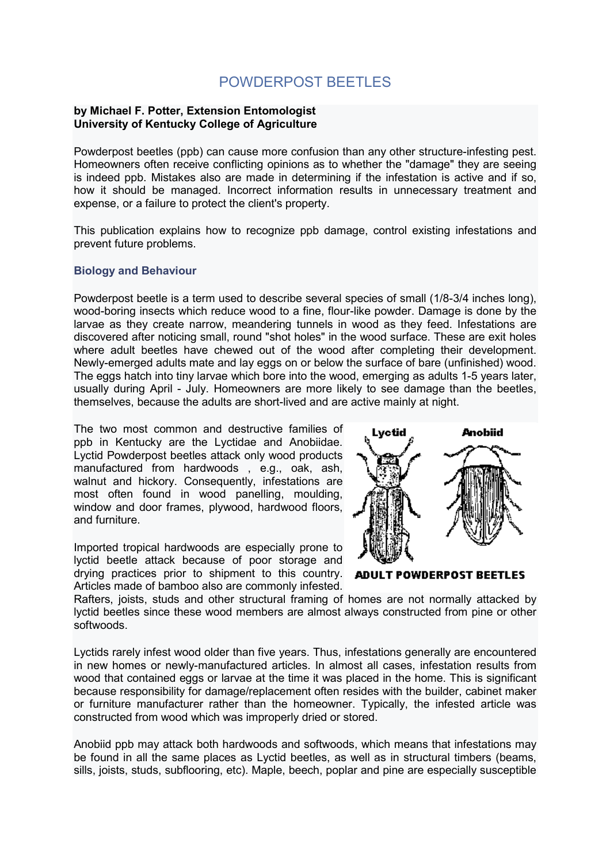# POWDERPOST BEETLES

#### **by Michael F. Potter, Extension Entomologist University of Kentucky College of Agriculture**

Powderpost beetles (ppb) can cause more confusion than any other structure-infesting pest. Homeowners often receive conflicting opinions as to whether the "damage" they are seeing is indeed ppb. Mistakes also are made in determining if the infestation is active and if so, how it should be managed. Incorrect information results in unnecessary treatment and expense, or a failure to protect the client's property.

This publication explains how to recognize ppb damage, control existing infestations and prevent future problems.

## **Biology and Behaviour**

Powderpost beetle is a term used to describe several species of small (1/8-3/4 inches long), wood-boring insects which reduce wood to a fine, flour-like powder. Damage is done by the larvae as they create narrow, meandering tunnels in wood as they feed. Infestations are discovered after noticing small, round "shot holes" in the wood surface. These are exit holes where adult beetles have chewed out of the wood after completing their development. Newly-emerged adults mate and lay eggs on or below the surface of bare (unfinished) wood. The eggs hatch into tiny larvae which bore into the wood, emerging as adults 1-5 years later, usually during April - July. Homeowners are more likely to see damage than the beetles, themselves, because the adults are short-lived and are active mainly at night.

The two most common and destructive families of ppb in Kentucky are the Lyctidae and Anobiidae. Lyctid Powderpost beetles attack only wood products manufactured from hardwoods , e.g., oak, ash, walnut and hickory. Consequently, infestations are most often found in wood panelling, moulding, window and door frames, plywood, hardwood floors, and furniture.

Imported tropical hardwoods are especially prone to lyctid beetle attack because of poor storage and drying practices prior to shipment to this country. Articles made of bamboo also are commonly infested.



**ADULT POWDERPOST BEETLES** 

Rafters, joists, studs and other structural framing of homes are not normally attacked by lyctid beetles since these wood members are almost always constructed from pine or other softwoods.

Lyctids rarely infest wood older than five years. Thus, infestations generally are encountered in new homes or newly-manufactured articles. In almost all cases, infestation results from wood that contained eggs or larvae at the time it was placed in the home. This is significant because responsibility for damage/replacement often resides with the builder, cabinet maker or furniture manufacturer rather than the homeowner. Typically, the infested article was constructed from wood which was improperly dried or stored.

Anobiid ppb may attack both hardwoods and softwoods, which means that infestations may be found in all the same places as Lyctid beetles, as well as in structural timbers (beams, sills, joists, studs, subflooring, etc). Maple, beech, poplar and pine are especially susceptible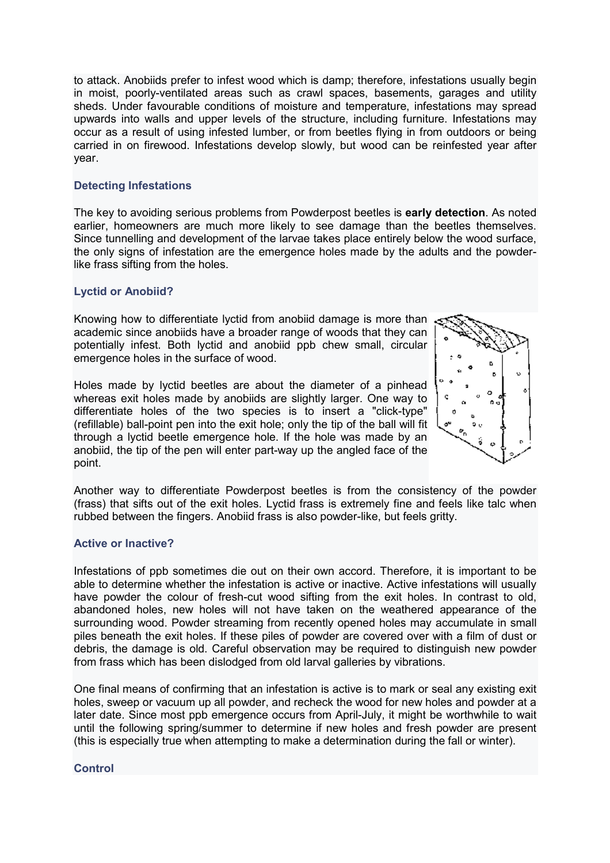to attack. Anobiids prefer to infest wood which is damp; therefore, infestations usually begin in moist, poorly-ventilated areas such as crawl spaces, basements, garages and utility sheds. Under favourable conditions of moisture and temperature, infestations may spread upwards into walls and upper levels of the structure, including furniture. Infestations may occur as a result of using infested lumber, or from beetles flying in from outdoors or being carried in on firewood. Infestations develop slowly, but wood can be reinfested year after year.

## **Detecting Infestations**

The key to avoiding serious problems from Powderpost beetles is **early detection**. As noted earlier, homeowners are much more likely to see damage than the beetles themselves. Since tunnelling and development of the larvae takes place entirely below the wood surface, the only signs of infestation are the emergence holes made by the adults and the powderlike frass sifting from the holes.

# **Lyctid or Anobiid?**

Knowing how to differentiate lyctid from anobiid damage is more than academic since anobiids have a broader range of woods that they can potentially infest. Both lyctid and anobiid ppb chew small, circular emergence holes in the surface of wood.

Holes made by lyctid beetles are about the diameter of a pinhead whereas exit holes made by anobiids are slightly larger. One way to differentiate holes of the two species is to insert a "click-type" (refillable) ball-point pen into the exit hole; only the tip of the ball will fit through a lyctid beetle emergence hole. If the hole was made by an anobiid, the tip of the pen will enter part-way up the angled face of the point.



Another way to differentiate Powderpost beetles is from the consistency of the powder (frass) that sifts out of the exit holes. Lyctid frass is extremely fine and feels like talc when rubbed between the fingers. Anobiid frass is also powder-like, but feels gritty.

#### **Active or Inactive?**

Infestations of ppb sometimes die out on their own accord. Therefore, it is important to be able to determine whether the infestation is active or inactive. Active infestations will usually have powder the colour of fresh-cut wood sifting from the exit holes. In contrast to old, abandoned holes, new holes will not have taken on the weathered appearance of the surrounding wood. Powder streaming from recently opened holes may accumulate in small piles beneath the exit holes. If these piles of powder are covered over with a film of dust or debris, the damage is old. Careful observation may be required to distinguish new powder from frass which has been dislodged from old larval galleries by vibrations.

One final means of confirming that an infestation is active is to mark or seal any existing exit holes, sweep or vacuum up all powder, and recheck the wood for new holes and powder at a later date. Since most ppb emergence occurs from April-July, it might be worthwhile to wait until the following spring/summer to determine if new holes and fresh powder are present (this is especially true when attempting to make a determination during the fall or winter).

#### **Control**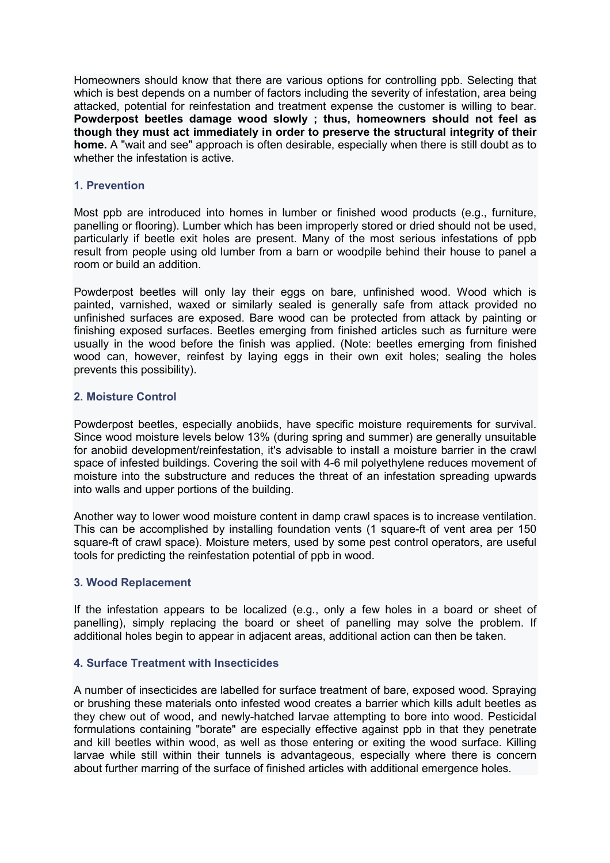Homeowners should know that there are various options for controlling ppb. Selecting that which is best depends on a number of factors including the severity of infestation, area being attacked, potential for reinfestation and treatment expense the customer is willing to bear. **Powderpost beetles damage wood slowly ; thus, homeowners should not feel as though they must act immediately in order to preserve the structural integrity of their home.** A "wait and see" approach is often desirable, especially when there is still doubt as to whether the infestation is active.

#### **1. Prevention**

Most ppb are introduced into homes in lumber or finished wood products (e.g., furniture, panelling or flooring). Lumber which has been improperly stored or dried should not be used, particularly if beetle exit holes are present. Many of the most serious infestations of ppb result from people using old lumber from a barn or woodpile behind their house to panel a room or build an addition.

Powderpost beetles will only lay their eggs on bare, unfinished wood. Wood which is painted, varnished, waxed or similarly sealed is generally safe from attack provided no unfinished surfaces are exposed. Bare wood can be protected from attack by painting or finishing exposed surfaces. Beetles emerging from finished articles such as furniture were usually in the wood before the finish was applied. (Note: beetles emerging from finished wood can, however, reinfest by laying eggs in their own exit holes; sealing the holes prevents this possibility).

# **2. Moisture Control**

Powderpost beetles, especially anobiids, have specific moisture requirements for survival. Since wood moisture levels below 13% (during spring and summer) are generally unsuitable for anobiid development/reinfestation, it's advisable to install a moisture barrier in the crawl space of infested buildings. Covering the soil with 4-6 mil polyethylene reduces movement of moisture into the substructure and reduces the threat of an infestation spreading upwards into walls and upper portions of the building.

Another way to lower wood moisture content in damp crawl spaces is to increase ventilation. This can be accomplished by installing foundation vents (1 square-ft of vent area per 150 square-ft of crawl space). Moisture meters, used by some pest control operators, are useful tools for predicting the reinfestation potential of ppb in wood.

#### **3. Wood Replacement**

If the infestation appears to be localized (e.g., only a few holes in a board or sheet of panelling), simply replacing the board or sheet of panelling may solve the problem. If additional holes begin to appear in adjacent areas, additional action can then be taken.

# **4. Surface Treatment with Insecticides**

A number of insecticides are labelled for surface treatment of bare, exposed wood. Spraying or brushing these materials onto infested wood creates a barrier which kills adult beetles as they chew out of wood, and newly-hatched larvae attempting to bore into wood. Pesticidal formulations containing "borate" are especially effective against ppb in that they penetrate and kill beetles within wood, as well as those entering or exiting the wood surface. Killing larvae while still within their tunnels is advantageous, especially where there is concern about further marring of the surface of finished articles with additional emergence holes.